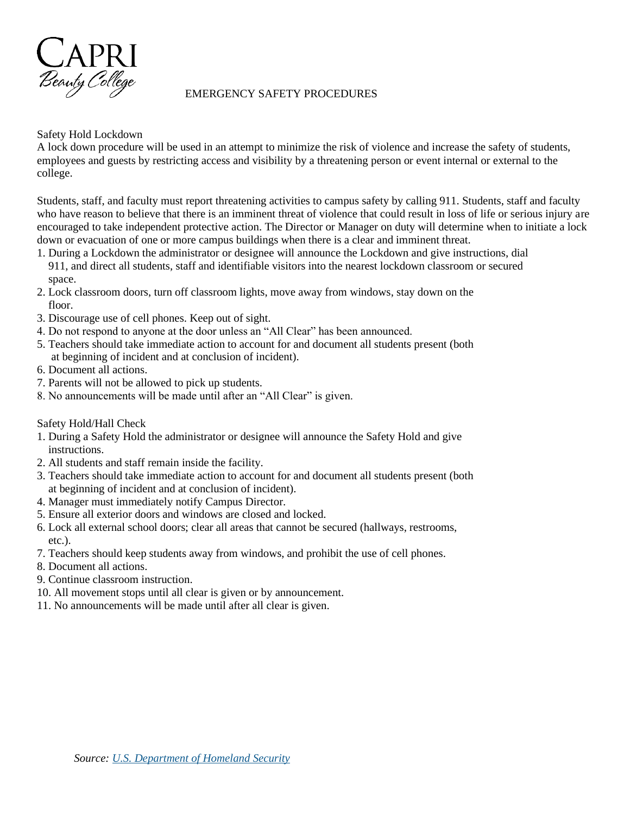

## EMERGENCY SAFETY PROCEDURES

# Safety Hold Lockdown

A lock down procedure will be used in an attempt to minimize the risk of violence and increase the safety of students, employees and guests by restricting access and visibility by a threatening person or event internal or external to the college.

Students, staff, and faculty must report threatening activities to campus safety by calling 911. Students, staff and faculty who have reason to believe that there is an imminent threat of violence that could result in loss of life or serious injury are encouraged to take independent protective action. The Director or Manager on duty will determine when to initiate a lock down or evacuation of one or more campus buildings when there is a clear and imminent threat.

- 1. During a Lockdown the administrator or designee will announce the Lockdown and give instructions, dial 911, and direct all students, staff and identifiable visitors into the nearest lockdown classroom or secured space.
- 2. Lock classroom doors, turn off classroom lights, move away from windows, stay down on the floor.
- 3. Discourage use of cell phones. Keep out of sight.
- 4. Do not respond to anyone at the door unless an "All Clear" has been announced.
- 5. Teachers should take immediate action to account for and document all students present (both at beginning of incident and at conclusion of incident).
- 6. Document all actions.
- 7. Parents will not be allowed to pick up students.
- 8. No announcements will be made until after an "All Clear" is given.
- Safety Hold/Hall Check
- 1. During a Safety Hold the administrator or designee will announce the Safety Hold and give instructions.
- 2. All students and staff remain inside the facility.
- 3. Teachers should take immediate action to account for and document all students present (both at beginning of incident and at conclusion of incident).
- 4. Manager must immediately notify Campus Director.
- 5. Ensure all exterior doors and windows are closed and locked.
- 6. Lock all external school doors; clear all areas that cannot be secured (hallways, restrooms, etc.).
- 7. Teachers should keep students away from windows, and prohibit the use of cell phones.
- 8. Document all actions.
- 9. Continue classroom instruction.
- 10. All movement stops until all clear is given or by announcement.
- 11. No announcements will be made until after all clear is given.